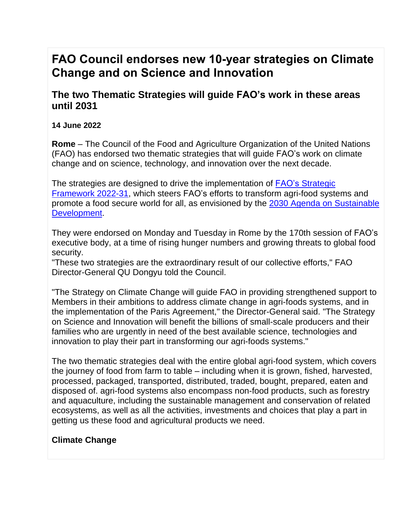# **FAO Council endorses new 10-year strategies on Climate Change and on Science and Innovation**

**The two Thematic Strategies will guide FAO's work in these areas until 2031**

## **14 June 2022**

**Rome** – The Council of the Food and Agriculture Organization of the United Nations (FAO) has endorsed two thematic strategies that will guide FAO's work on climate change and on science, technology, and innovation over the next decade.

The strategies are designed to drive the implementation of FAO's [Strategic](https://www.fao.org/about/strategy-programme-budget/strategic-framework/en/) [Framework](https://www.fao.org/about/strategy-programme-budget/strategic-framework/en/) 2022-31, which steers FAO's efforts to transform agri-food systems and promote a food secure world for all, as envisioned by the 2030 Agenda on [Sustainable](https://www.un.org/ga/search/view_doc.asp?symbol=A/RES/70/1&Lang=E) [Development.](https://www.un.org/ga/search/view_doc.asp?symbol=A/RES/70/1&Lang=E)

They were endorsed on Monday and Tuesday in Rome by the 170th session of FAO's executive body, at a time of rising hunger numbers and growing threats to global food security.

"These two strategies are the extraordinary result of our collective efforts," FAO Director-General QU Dongyu told the Council.

"The Strategy on Climate Change will guide FAO in providing strengthened support to Members in their ambitions to address climate change in agri-foods systems, and in the implementation of the Paris Agreement," the Director-General said. "The Strategy on Science and Innovation will benefit the billions of small-scale producers and their families who are urgently in need of the best available science, technologies and innovation to play their part in transforming our agri-foods systems."

The two thematic strategies deal with the entire global agri-food system, which covers the journey of food from farm to table – including when it is grown, fished, harvested, processed, packaged, transported, distributed, traded, bought, prepared, eaten and disposed of. agri-food systems also encompass non-food products, such as forestry and aquaculture, including the sustainable management and conservation of related ecosystems, as well as all the activities, investments and choices that play a part in getting us these food and agricultural products we need.

# **Climate Change**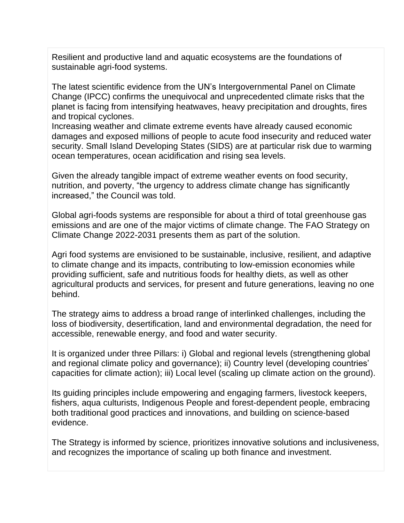Resilient and productive land and aquatic ecosystems are the foundations of sustainable agri-food systems.

The latest scientific evidence from the UN's Intergovernmental Panel on Climate Change (IPCC) confirms the unequivocal and unprecedented climate risks that the planet is facing from intensifying heatwaves, heavy precipitation and droughts, fires and tropical cyclones.

Increasing weather and climate extreme events have already caused economic damages and exposed millions of people to acute food insecurity and reduced water security. Small Island Developing States (SIDS) are at particular risk due to warming ocean temperatures, ocean acidification and rising sea levels.

Given the already tangible impact of extreme weather events on food security, nutrition, and poverty, "the urgency to address climate change has significantly increased," the Council was told.

Global agri-foods systems are responsible for about a third of total greenhouse gas emissions and are one of the major victims of climate change. The FAO Strategy on Climate Change 2022-2031 presents them as part of the solution.

Agri food systems are envisioned to be sustainable, inclusive, resilient, and adaptive to climate change and its impacts, contributing to low-emission economies while providing sufficient, safe and nutritious foods for healthy diets, as well as other agricultural products and services, for present and future generations, leaving no one behind.

The strategy aims to address a broad range of interlinked challenges, including the loss of biodiversity, desertification, land and environmental degradation, the need for accessible, renewable energy, and food and water security.

It is organized under three Pillars: i) Global and regional levels (strengthening global and regional climate policy and governance); ii) Country level (developing countries' capacities for climate action); iii) Local level (scaling up climate action on the ground).

Its guiding principles include empowering and engaging farmers, livestock keepers, fishers, aqua culturists, Indigenous People and forest-dependent people, embracing both traditional good practices and innovations, and building on science-based evidence.

The Strategy is informed by science, prioritizes innovative solutions and inclusiveness, and recognizes the importance of scaling up both finance and investment.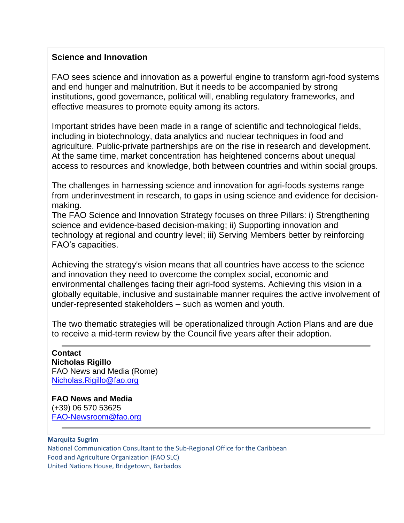## **Science and Innovation**

FAO sees science and innovation as a powerful engine to transform agri-food systems and end hunger and malnutrition. But it needs to be accompanied by strong institutions, good governance, political will, enabling regulatory frameworks, and effective measures to promote equity among its actors.

Important strides have been made in a range of scientific and technological fields, including in biotechnology, data analytics and nuclear techniques in food and agriculture. Public-private partnerships are on the rise in research and development. At the same time, market concentration has heightened concerns about unequal access to resources and knowledge, both between countries and within social groups.

The challenges in harnessing science and innovation for agri-foods systems range from underinvestment in research, to gaps in using science and evidence for decisionmaking.

The FAO Science and Innovation Strategy focuses on three Pillars: i) Strengthening science and evidence-based decision-making; ii) Supporting innovation and technology at regional and country level; iii) Serving Members better by reinforcing FAO's capacities.

Achieving the strategy's vision means that all countries have access to the science and innovation they need to overcome the complex social, economic and environmental challenges facing their agri-food systems. Achieving this vision in a globally equitable, inclusive and sustainable manner requires the active involvement of under-represented stakeholders – such as women and youth.

The two thematic strategies will be operationalized through Action Plans and are due to receive a mid-term review by the Council five years after their adoption.

**Contact Nicholas Rigillo** FAO News and Media (Rome) [Nicholas.Rigillo@fao.org](mailto:Nicholas.Rigillo@fao.org)

**FAO News and Media** (+39) 06 570 53625 [FAO-Newsroom@fao.org](mailto:FAO-Newsroom@fao.org)

#### **Marquita Sugrim**

National Communication Consultant to the Sub-Regional Office for the Caribbean Food and Agriculture Organization (FAO SLC) United Nations House, Bridgetown, Barbados